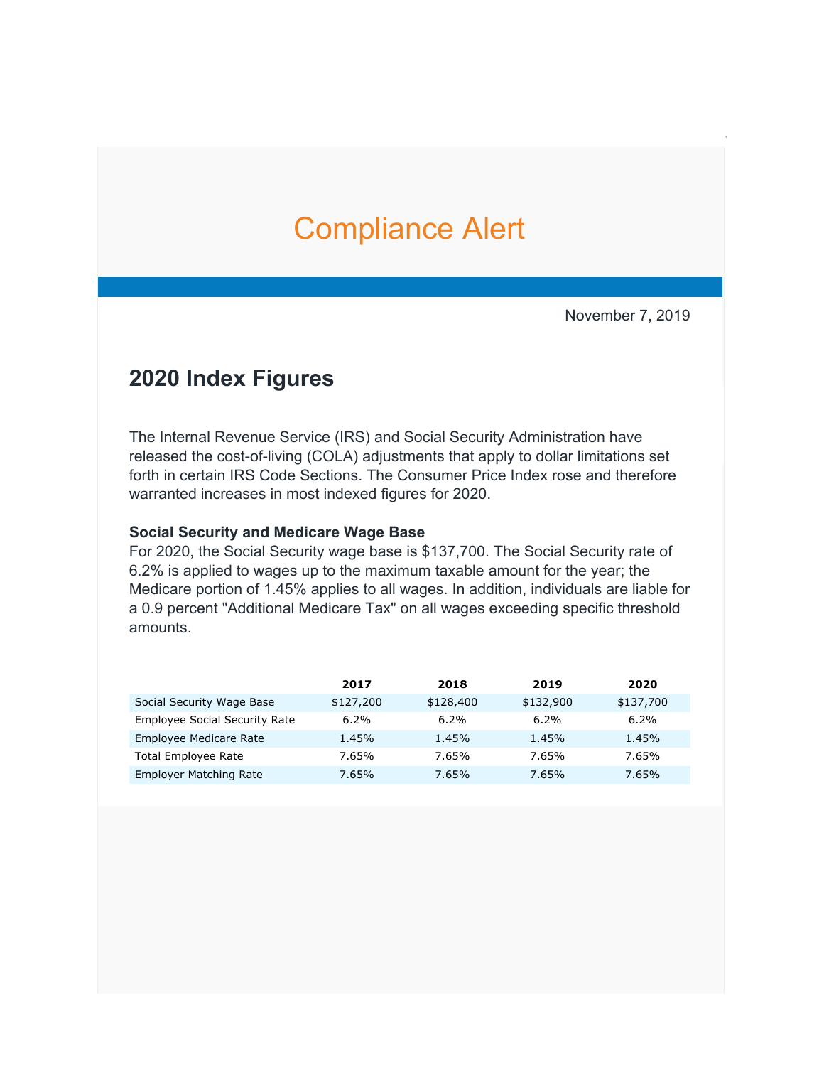# [Co](https://urldefense.proofpoint.com/v2/url?u=http-3A__mkto-2Dab370132.com_v0000Kbk0EaQI0f0C020000&d=DwMFaQ&c=w9CZ9mC6OBWt9gnv7A4za6QbJkLPbwMyIcSTDqPvWdQ&r=VL4Pcka8c37hY6xbbYSqCJGNG7W-2kBiyWhyg2WSWxo&m=izbzJa-M-A8WM_7selxaUIRMx44uHBWAjvMvl0SfXVY&s=1nXq0jbGApITUePNeCaho1r3GqAQAUrVmAvzCj4k8Xs&e=)mpliance Alert

November 7, 2019

# **2020 Index Figures**

The Internal Revenue Service (IRS) and Social Security Administration have released the cost-of-living (COLA) adjustments that apply to dollar limitations set forth in certain IRS Code Sections. The Consumer Price Index rose and therefore warranted increases in most indexed figures for 2020.

#### **Social Security and Medicare Wage Base**

For 2020, the Social Security wage base is \$137,700. The Social Security rate of 6.2% is applied to wages up to the maximum taxable amount for the year; the Medicare portion of 1.45% applies to all wages. In addition, individuals are liable for a 0.9 percent "Additional Medicare Tax" on all wages exceeding specific threshold amounts.

|                                      | 2017      | 2018      | 2019      | 2020      |
|--------------------------------------|-----------|-----------|-----------|-----------|
| Social Security Wage Base            | \$127,200 | \$128,400 | \$132,900 | \$137,700 |
| <b>Employee Social Security Rate</b> | 6.2%      | 6.2%      | 6.2%      | 6.2%      |
| Employee Medicare Rate               | 1.45%     | 1.45%     | 1.45%     | 1.45%     |
| <b>Total Employee Rate</b>           | 7.65%     | 7.65%     | 7.65%     | 7.65%     |
| <b>Employer Matching Rate</b>        | 7.65%     | 7.65%     | 7.65%     | 7.65%     |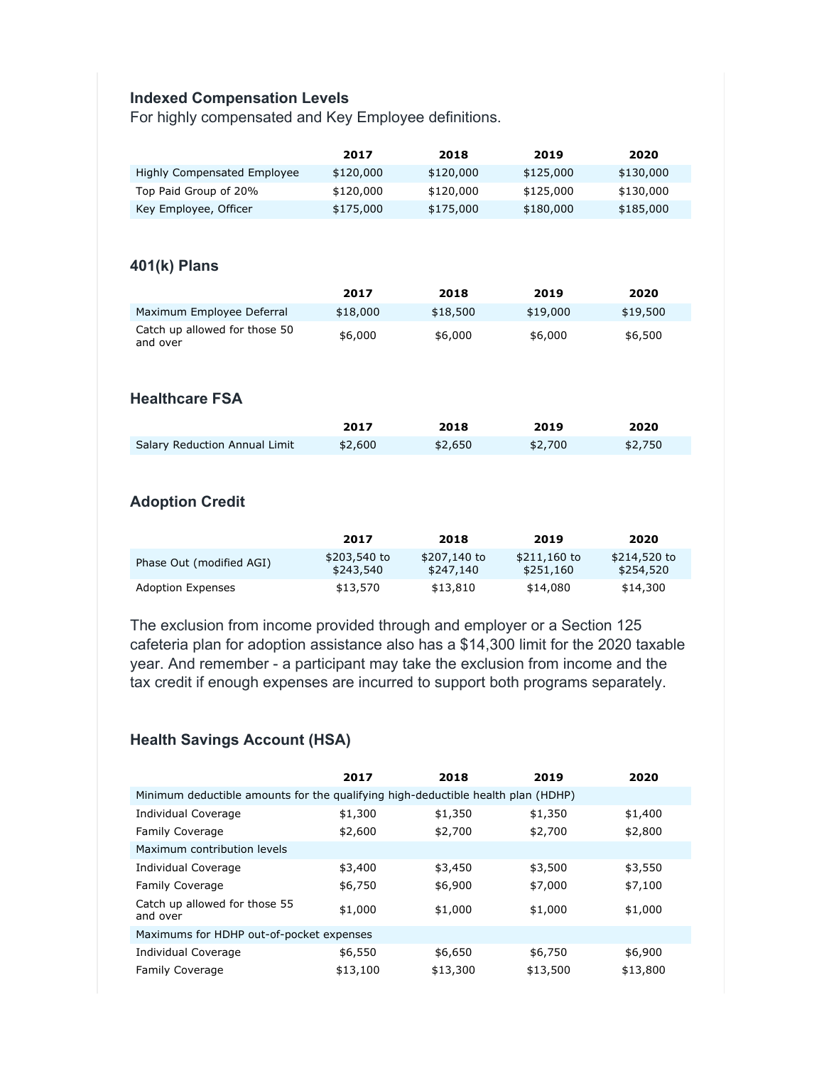#### **Indexed Compensation Levels**

For highly compensated and Key Employee definitions.

|                                           | 2017                      | 2018                      | 2019                      | 2020                      |
|-------------------------------------------|---------------------------|---------------------------|---------------------------|---------------------------|
| <b>Highly Compensated Employee</b>        | \$120,000                 | \$120,000                 | \$125,000                 | \$130,000                 |
| Top Paid Group of 20%                     | \$120,000                 | \$120,000                 | \$125,000                 | \$130,000                 |
| Key Employee, Officer                     | \$175,000                 | \$175,000                 | \$180,000                 | \$185,000                 |
|                                           |                           |                           |                           |                           |
| 401(k) Plans                              |                           |                           |                           |                           |
|                                           | 2017                      | 2018                      | 2019                      | 2020                      |
| Maximum Employee Deferral                 | \$18,000                  | \$18,500                  | \$19,000                  | \$19,500                  |
| Catch up allowed for those 50<br>and over | \$6,000                   | \$6,000                   | \$6,000                   | \$6,500                   |
|                                           |                           |                           |                           |                           |
| <b>Healthcare FSA</b>                     |                           |                           |                           |                           |
|                                           | 2017                      | 2018                      | 2019                      | 2020                      |
| <b>Salary Reduction Annual Limit</b>      | \$2,600                   | \$2,650                   | \$2,700                   | \$2,750                   |
|                                           |                           |                           |                           |                           |
|                                           |                           |                           |                           |                           |
| <b>Adoption Credit</b>                    |                           |                           |                           |                           |
|                                           |                           |                           |                           |                           |
|                                           | 2017                      | 2018                      | 2019                      | 2020                      |
| Phase Out (modified AGI)                  | \$203,540 to<br>\$243,540 | \$207,140 to<br>\$247,140 | \$211,160 to<br>\$251,160 | \$214,520 to<br>\$254,520 |
| <b>Adoption Expenses</b>                  | \$13,570                  | \$13,810                  | \$14,080                  | \$14,300                  |

The exclusion from income provided through and employer or a Section 125 cafeteria plan for adoption assistance also has a \$14,300 limit for the 2020 taxable year. And remember - a participant may take the exclusion from income and the tax credit if enough expenses are incurred to support both programs separately.

#### **Health Savings Account (HSA)**

|                                                                                  | 2017     | 2018     | 2019     | 2020     |  |  |
|----------------------------------------------------------------------------------|----------|----------|----------|----------|--|--|
| Minimum deductible amounts for the qualifying high-deductible health plan (HDHP) |          |          |          |          |  |  |
| Individual Coverage                                                              | \$1,300  | \$1,350  | \$1,350  | \$1,400  |  |  |
| <b>Family Coverage</b>                                                           | \$2,600  | \$2,700  | \$2,700  | \$2,800  |  |  |
| Maximum contribution levels                                                      |          |          |          |          |  |  |
| <b>Individual Coverage</b>                                                       | \$3,400  | \$3,450  | \$3,500  | \$3,550  |  |  |
| <b>Family Coverage</b>                                                           | \$6,750  | \$6,900  | \$7,000  | \$7,100  |  |  |
| Catch up allowed for those 55<br>and over                                        | \$1,000  | \$1,000  | \$1,000  | \$1,000  |  |  |
| Maximums for HDHP out-of-pocket expenses                                         |          |          |          |          |  |  |
| Individual Coverage                                                              | \$6,550  | \$6,650  | \$6,750  | \$6,900  |  |  |
| <b>Family Coverage</b>                                                           | \$13,100 | \$13,300 | \$13,500 | \$13,800 |  |  |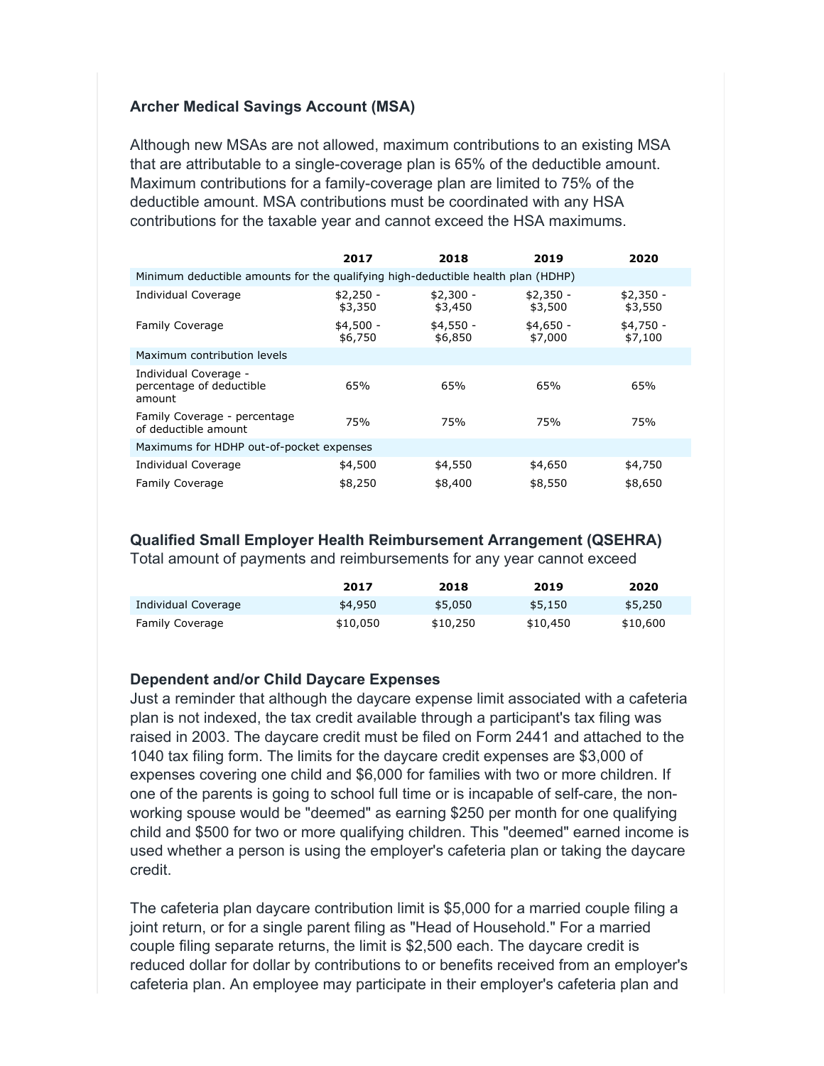### **Archer Medical Savings Account (MSA)**

Although new MSAs are not allowed, maximum contributions to an existing MSA that are attributable to a single-coverage plan is 65% of the deductible amount. Maximum contributions for a family-coverage plan are limited to 75% of the deductible amount. MSA contributions must be coordinated with any HSA contributions for the taxable year and cannot exceed the HSA maximums.

|                                                                                  | 2017                  | 2018                  | 2019                  | 2020                  |  |
|----------------------------------------------------------------------------------|-----------------------|-----------------------|-----------------------|-----------------------|--|
| Minimum deductible amounts for the qualifying high-deductible health plan (HDHP) |                       |                       |                       |                       |  |
| <b>Individual Coverage</b>                                                       | $$2,250 -$<br>\$3,350 | $$2,300 -$<br>\$3,450 | $$2,350 -$<br>\$3,500 | $$2,350 -$<br>\$3,550 |  |
| <b>Family Coverage</b>                                                           | $$4,500 -$<br>\$6,750 | $$4,550 -$<br>\$6,850 | $$4,650 -$<br>\$7,000 | $$4,750 -$<br>\$7,100 |  |
| Maximum contribution levels                                                      |                       |                       |                       |                       |  |
| Individual Coverage -<br>percentage of deductible<br>amount                      | 65%                   | 65%                   | 65%                   | 65%                   |  |
| Family Coverage - percentage<br>of deductible amount                             | 75%                   | 75%                   | 75%                   | 75%                   |  |
| Maximums for HDHP out-of-pocket expenses                                         |                       |                       |                       |                       |  |
| <b>Individual Coverage</b>                                                       | \$4,500               | \$4,550               | \$4,650               | \$4,750               |  |
| <b>Family Coverage</b>                                                           | \$8,250               | \$8,400               | \$8,550               | \$8,650               |  |

#### **Qualified Small Employer Health Reimbursement Arrangement (QSEHRA)**

Total amount of payments and reimbursements for any year cannot exceed

|                        | 2017     | 2018     | 2019     | 2020     |
|------------------------|----------|----------|----------|----------|
| Individual Coverage    | \$4,950  | \$5,050  | \$5,150  | \$5,250  |
| <b>Family Coverage</b> | \$10,050 | \$10,250 | \$10,450 | \$10,600 |

#### **Dependent and/or Child Daycare Expenses**

Just a reminder that although the daycare expense limit associated with a cafeteria plan is not indexed, the tax credit available through a participant's tax filing was raised in 2003. The daycare credit must be filed on Form 2441 and attached to the 1040 tax filing form. The limits for the daycare credit expenses are \$3,000 of expenses covering one child and \$6,000 for families with two or more children. If one of the parents is going to school full time or is incapable of self-care, the nonworking spouse would be "deemed" as earning \$250 per month for one qualifying child and \$500 for two or more qualifying children. This "deemed" earned income is used whether a person is using the employer's cafeteria plan or taking the daycare credit.

The cafeteria plan daycare contribution limit is \$5,000 for a married couple filing a joint return, or for a single parent filing as "Head of Household." For a married couple filing separate returns, the limit is \$2,500 each. The daycare credit is reduced dollar for dollar by contributions to or benefits received from an employer's cafeteria plan. An employee may participate in their employer's cafeteria plan and